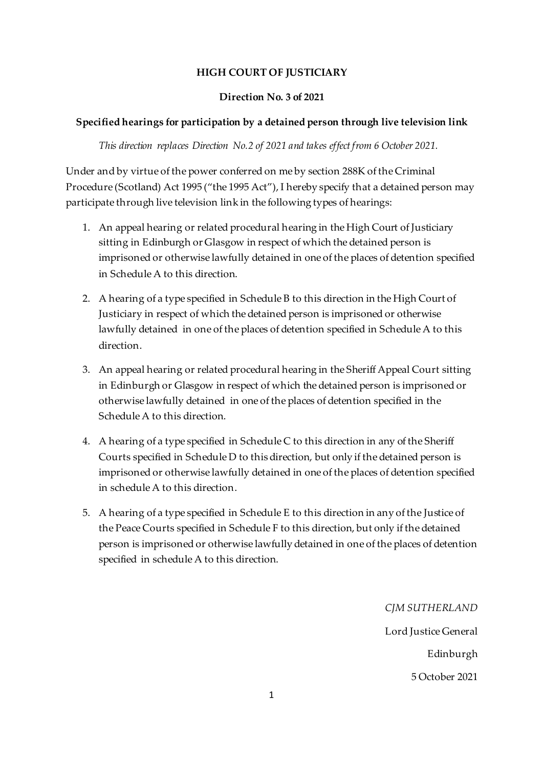# **HIGH COURT OF JUSTICIARY**

#### **Direction No. 3 of 2021**

# **Specified hearings for participation by a detained person through live television link**

*This direction replaces Direction No.2 of 2021 and takes effect from 6 October 2021.*

Under and by virtue of the power conferred on me by section 288K of the Criminal Procedure (Scotland) Act 1995 ("the 1995 Act"), I hereby specify that a detained person may participate through live television link in the following types of hearings:

- 1. An appeal hearing or related procedural hearing in the High Court of Justiciary sitting in Edinburgh or Glasgow in respect of which the detained person is imprisoned or otherwise lawfully detained in one of the places of detention specified in Schedule A to this direction.
- 2. A hearing of a type specified in Schedule B to this direction in the High Court of Justiciary in respect of which the detained person is imprisoned or otherwise lawfully detained in one of the places of detention specified in Schedule A to this direction.
- 3. An appeal hearing or related procedural hearing in the Sheriff Appeal Court sitting in Edinburgh or Glasgow in respect of which the detained person is imprisoned or otherwise lawfully detained in one of the places of detention specified in the Schedule A to this direction.
- 4. A hearing of a type specified in Schedule C to this direction in any of the Sheriff Courts specified in Schedule D to this direction, but only if the detained person is imprisoned or otherwise lawfully detained in one of the places of detention specified in schedule A to this direction.
- 5. A hearing of a type specified in Schedule E to this direction in any of the Justice of the Peace Courts specified in Schedule F to this direction, but only if the detained person is imprisoned or otherwise lawfully detained in one of the places of detention specified in schedule A to this direction.

*CJM SUTHERLAND*

Lord Justice General Edinburgh 5 October 2021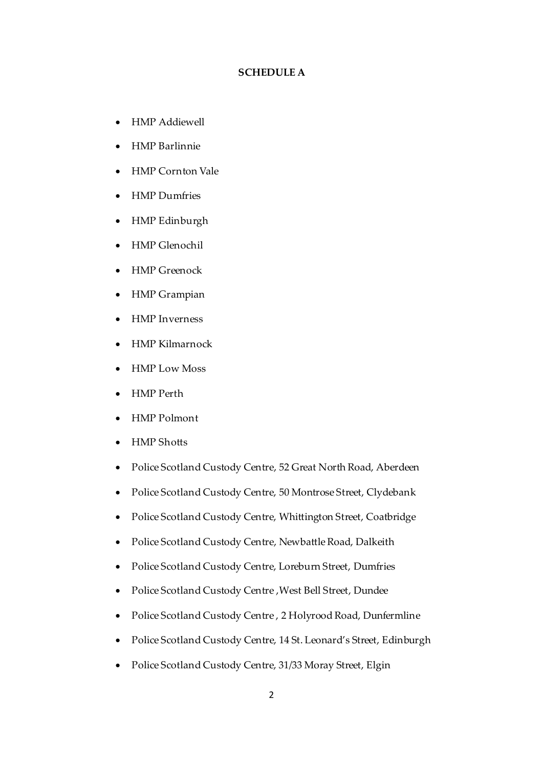#### **SCHEDULE A**

- HMP Addiewell
- HMP Barlinnie
- HMP Cornton Vale
- HMP Dumfries
- HMP Edinburgh
- HMP Glenochil
- HMP Greenock
- HMP Grampian
- HMP Inverness
- HMP Kilmarnock
- HMP Low Moss
- HMP Perth
- HMP Polmont
- HMP Shotts
- Police Scotland Custody Centre, 52 Great North Road, Aberdeen
- Police Scotland Custody Centre, 50 Montrose Street, Clydebank
- Police Scotland Custody Centre, Whittington Street, Coatbridge
- Police Scotland Custody Centre, Newbattle Road, Dalkeith
- Police Scotland Custody Centre, Loreburn Street, Dumfries
- Police Scotland Custody Centre ,West Bell Street, Dundee
- Police Scotland Custody Centre , 2 Holyrood Road, Dunfermline
- Police Scotland Custody Centre, 14 St. Leonard's Street, Edinburgh
- Police Scotland Custody Centre, 31/33 Moray Street, Elgin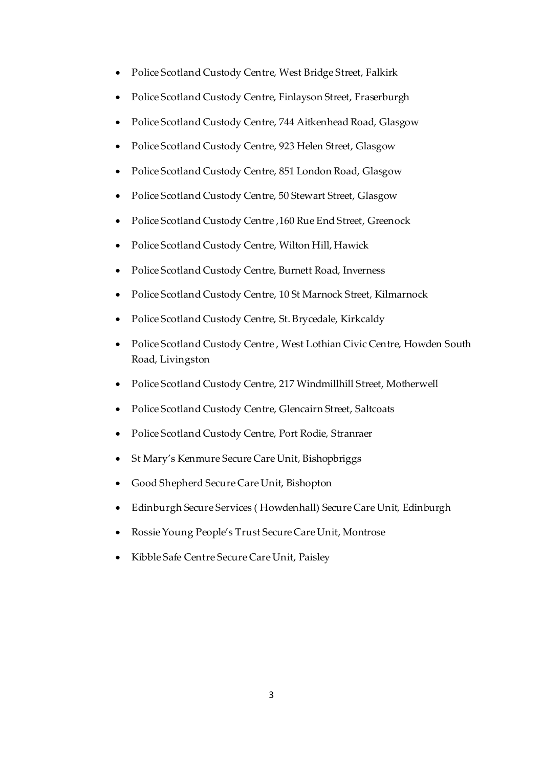- Police Scotland Custody Centre, West Bridge Street, Falkirk
- Police Scotland Custody Centre, Finlayson Street, Fraserburgh
- Police Scotland Custody Centre, 744 Aitkenhead Road, Glasgow
- Police Scotland Custody Centre, 923 Helen Street, Glasgow
- Police Scotland Custody Centre, 851 London Road, Glasgow
- Police Scotland Custody Centre, 50 Stewart Street, Glasgow
- Police Scotland Custody Centre ,160 Rue End Street, Greenock
- Police Scotland Custody Centre, Wilton Hill, Hawick
- Police Scotland Custody Centre, Burnett Road, Inverness
- Police Scotland Custody Centre, 10 St Marnock Street, Kilmarnock
- Police Scotland Custody Centre, St. Brycedale, Kirkcaldy
- Police Scotland Custody Centre , West Lothian Civic Centre, Howden South Road, Livingston
- Police Scotland Custody Centre, 217 Windmillhill Street, Motherwell
- Police Scotland Custody Centre, Glencairn Street, Saltcoats
- Police Scotland Custody Centre, Port Rodie, Stranraer
- St Mary's Kenmure Secure Care Unit, Bishopbriggs
- Good Shepherd Secure Care Unit, Bishopton
- Edinburgh Secure Services ( Howdenhall) Secure Care Unit, Edinburgh
- Rossie Young People's Trust Secure Care Unit, Montrose
- Kibble Safe Centre Secure Care Unit, Paisley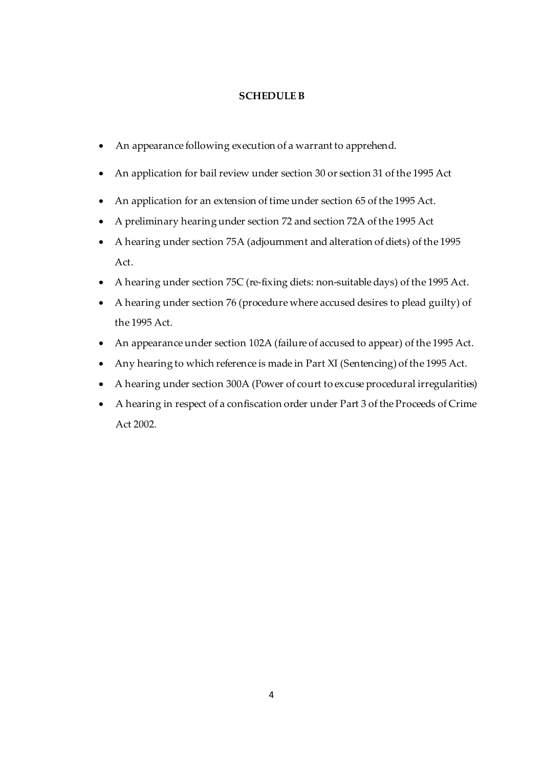## **SCHEDULE B**

- An appearance following execution of a warrant to apprehend.
- An application for bail review under section 30 or section 31 of the 1995 Act
- An application for an extension of time under section 65 of the 1995 Act.
- A preliminary hearing under section 72 and section 72A of the 1995 Act
- A hearing under section 75A (adjournment and alteration of diets) of the 1995 Act.
- A hearing under section 75C (re-fixing diets: non-suitable days) of the 1995 Act.
- A hearing under section 76 (procedure where accused desires to plead guilty) of the 1995 Act.
- An appearance under section 102A (failure of accused to appear) of the 1995 Act.
- Any hearing to which reference is made in Part XI (Sentencing) of the 1995 Act.
- A hearing under section 300A (Power of court to excuse procedural irregularities)
- A hearing in respect of a confiscation order under Part 3 of the Proceeds of Crime Act 2002.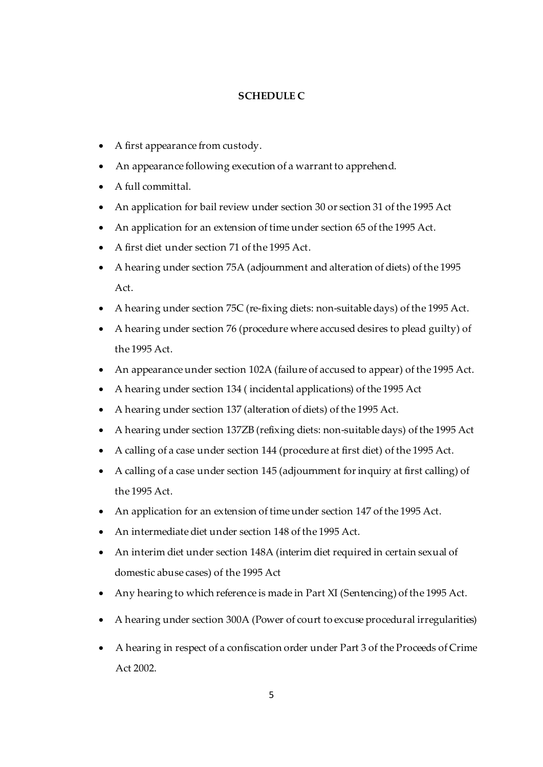#### **SCHEDULE C**

- A first appearance from custody.
- An appearance following execution of a warrant to apprehend.
- A full committal.
- An application for bail review under section 30 or section 31 of the 1995 Act
- An application for an extension of time under section 65 of the 1995 Act.
- A first diet under section 71 of the 1995 Act.
- A hearing under section 75A (adjournment and alteration of diets) of the 1995 Act.
- A hearing under section 75C (re-fixing diets: non-suitable days) of the 1995 Act.
- A hearing under section 76 (procedure where accused desires to plead guilty) of the 1995 Act.
- An appearance under section 102A (failure of accused to appear) of the 1995 Act.
- A hearing under section 134 ( incidental applications) of the 1995 Act
- A hearing under section 137 (alteration of diets) of the 1995 Act.
- A hearing under section 137ZB (refixing diets: non-suitable days) of the 1995 Act
- A calling of a case under section 144 (procedure at first diet) of the 1995 Act.
- A calling of a case under section 145 (adjournment for inquiry at first calling) of the 1995 Act.
- An application for an extension of time under section 147 of the 1995 Act.
- An intermediate diet under section 148 of the 1995 Act.
- An interim diet under section 148A (interim diet required in certain sexual of domestic abuse cases) of the 1995 Act
- Any hearing to which reference is made in Part XI (Sentencing) of the 1995 Act.
- A hearing under section 300A (Power of court to excuse procedural irregularities)
- A hearing in respect of a confiscation order under Part 3 of the Proceeds of Crime Act 2002.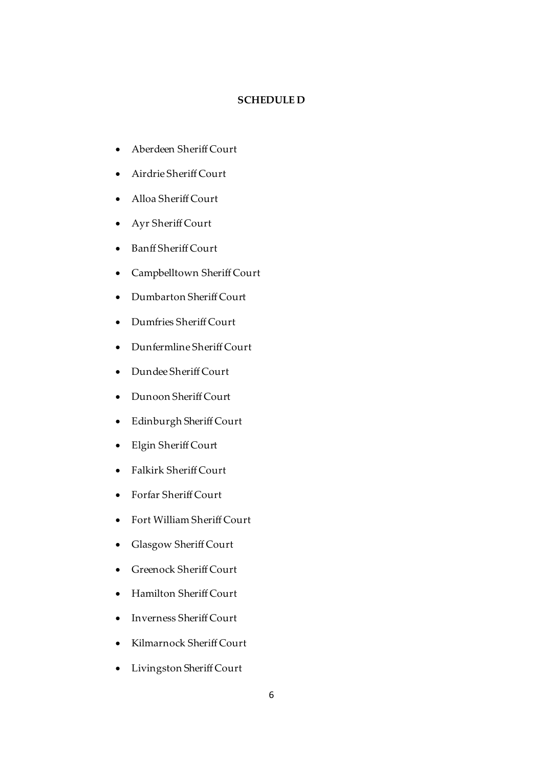#### **SCHEDULE D**

- Aberdeen Sheriff Court
- Airdrie Sheriff Court
- Alloa Sheriff Court
- Ayr Sheriff Court
- Banff Sheriff Court
- Campbelltown Sheriff Court
- Dumbarton Sheriff Court
- Dumfries Sheriff Court
- Dunfermline Sheriff Court
- Dundee Sheriff Court
- Dunoon Sheriff Court
- Edinburgh Sheriff Court
- Elgin Sheriff Court
- Falkirk Sheriff Court
- Forfar Sheriff Court
- Fort William Sheriff Court
- Glasgow Sheriff Court
- Greenock Sheriff Court
- Hamilton Sheriff Court
- Inverness Sheriff Court
- Kilmarnock Sheriff Court
- Livingston Sheriff Court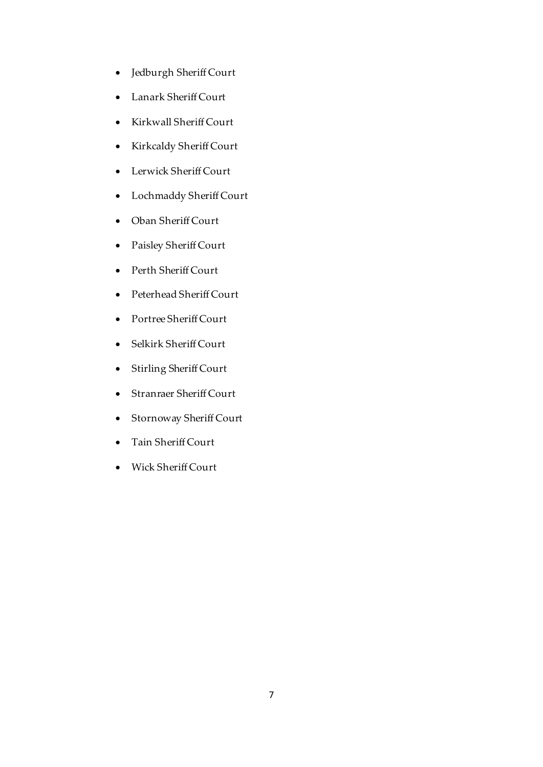- Jedburgh Sheriff Court
- Lanark Sheriff Court
- Kirkwall Sheriff Court
- Kirkcaldy Sheriff Court
- Lerwick Sheriff Court
- Lochmaddy Sheriff Court
- Oban Sheriff Court
- Paisley Sheriff Court
- Perth Sheriff Court
- Peterhead Sheriff Court
- Portree Sheriff Court
- Selkirk Sheriff Court
- Stirling Sheriff Court
- Stranraer Sheriff Court
- Stornoway Sheriff Court
- Tain Sheriff Court
- Wick Sheriff Court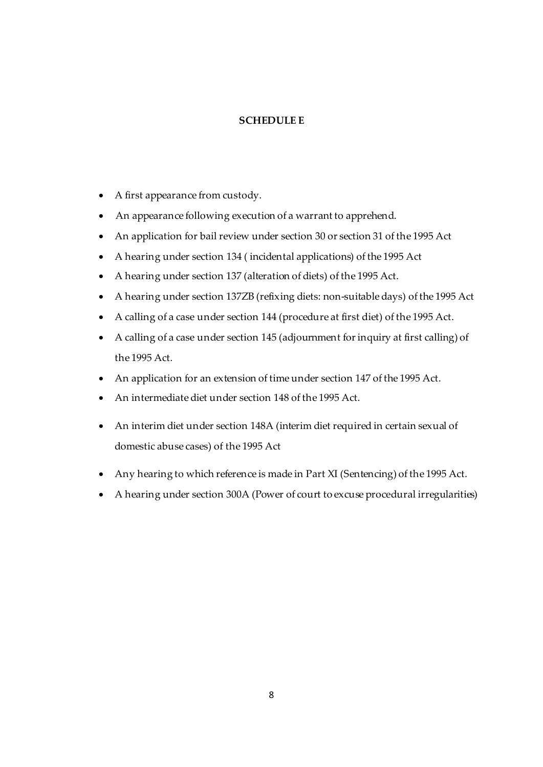## **SCHEDULE E**

- A first appearance from custody.
- An appearance following execution of a warrant to apprehend.
- An application for bail review under section 30 or section 31 of the 1995 Act
- A hearing under section 134 ( incidental applications) of the 1995 Act
- A hearing under section 137 (alteration of diets) of the 1995 Act.
- A hearing under section 137ZB (refixing diets: non-suitable days) of the 1995 Act
- A calling of a case under section 144 (procedure at first diet) of the 1995 Act.
- A calling of a case under section 145 (adjournment for inquiry at first calling) of the 1995 Act.
- An application for an extension of time under section 147 of the 1995 Act.
- An intermediate diet under section 148 of the 1995 Act.
- An interim diet under section 148A (interim diet required in certain sexual of domestic abuse cases) of the 1995 Act
- Any hearing to which reference is made in Part XI (Sentencing) of the 1995 Act.
- A hearing under section 300A (Power of court to excuse procedural irregularities)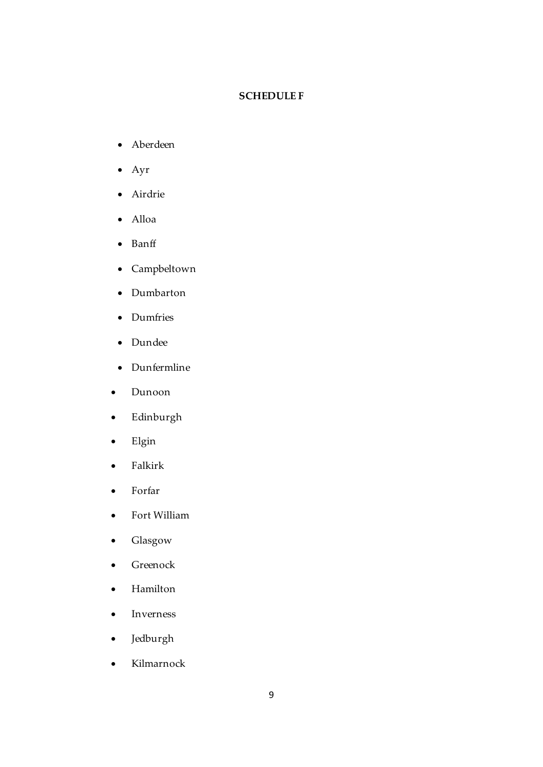### **SCHEDULE F**

- Aberdeen
- Ayr
- Airdrie
- Alloa
- Banff
- Campbeltown
- Dumbarton
- Dumfries
- Dundee
- Dunfermline
- Dunoon
- Edinburgh
- Elgin
- Falkirk
- Forfar
- Fort William
- Glasgow
- Greenock
- Hamilton
- Inverness
- Jedburgh
- Kilmarnock